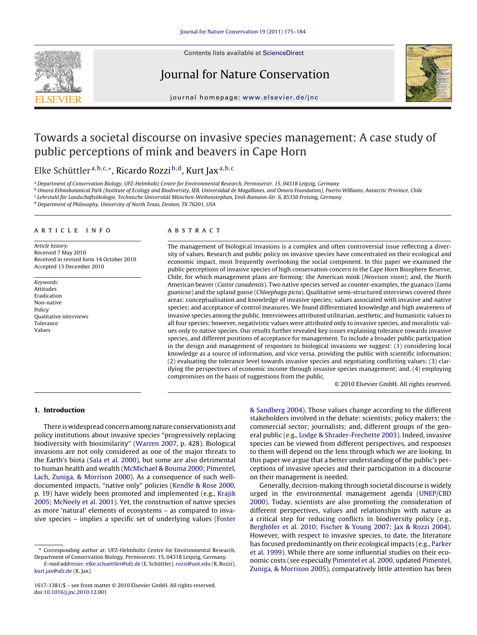

Contents lists available at [ScienceDirect](http://www.sciencedirect.com/science/journal/16171381)

## Journal for Nature Conservation



journal homepage: [www.elsevier.de/jnc](http://www.elsevier.de/jnc)

# Towards a societal discourse on invasive species management: A case study of public perceptions of mink and beavers in Cape Horn

## Elke Schüttler <sup>a</sup>,b,c,∗, Ricardo Rozzi <sup>b</sup>,d, Kurt Jaxa,b,<sup>c</sup>

<sup>a</sup> Department of Conservation Biology, UFZ-Helmholtz Centre for Environmental Research, Permoserstr. 15, 04318 Leipzig, Germany

<sup>b</sup> Omora Ethnobotanical Park (Institute of Ecology and Biodiversity, IEB, Universidad de Magallanes, and Omora Foundation), Puerto Williams, Antarctic Province, Chile

<sup>c</sup> Lehrstuhl für Landschaftsökologie, Technische Universität München-Weihenstephan, Emil-Ramann-Str. 6, 85350 Freising, Germany

<sup>d</sup> Department of Philosophy, University of North Texas, Denton, TX 76201, USA

## article info

Article history: Received 7 May 2010 Received in revised form 14 October 2010 Accepted 13 December 2010

Keywords: Attitudes Eradication Non-native Policy Qualitative interviews Tolerance Values

## ABSTRACT

The management of biological invasions is a complex and often controversial issue reflecting a diversity of values. Research and public policy on invasive species have concentrated on their ecological and economic impact, most frequently overlooking the social component. In this paper we examined the public perceptions of invasive species of high conservation concern in the Cape Horn Biosphere Reserve, Chile, for which management plans are forming: the American mink (Neovison vison); and, the North American beaver (Castor canadensis). Two native species served as counter-examples, the guanaco (Lama guanicoe) and the upland goose (Chloephaga picta). Qualitative semi-structured interviews covered three areas: conceptualisation and knowledge of invasive species; values associated with invasive and native species; and acceptance of control measures. We found differentiated knowledge and high awareness of invasive species among the public. Interviewees attributed utilitarian, aesthetic, and humanistic values to all four species; however, negativistic values were attributed only to invasive species, and moralistic values only to native species. Our results further revealed key issues explaining tolerance towards invasive species, and different positions of acceptance for management. To include a broader public participation in the design and management of responses to biological invasions we suggest: (1) considering local knowledge as a source of information, and vice versa, providing the public with scientific information; (2) evaluating the tolerance level towards invasive species and negotiating conflicting values; (3) clarifying the perspectives of economic income through invasive species management; and, (4) employing compromises on the basis of suggestions from the public.

© 2010 Elsevier GmbH. All rights reserved.

## **1. Introduction**

There is widespread concern among nature conservationists and policy institutions about invasive species "progressively replacing biodiversity with biosimilarity" ([Warren 2007, p](#page-9-0). 428). Biological invasions are not only considered as one of the major threats to the Earth's biota ([Sala et al. 2000\),](#page-8-0) but some are also detrimental to human health and wealth [\(McMichael & Bouma 2000; Pimentel,](#page-8-0) [Lach, Zuniga, & Morrison 2000\).](#page-8-0) As a consequence of such welldocumented impacts, "native only" policies [\(Kendle & Rose 2000,](#page-8-0) p. 19) have widely been promoted and implemented (e.g., [Krajik](#page-8-0) [2005; McNeely et al. 2001\).](#page-8-0) Yet, the construction of native species as more 'natural' elements of ecosystems – as compared to invasive species – implies a specific set of underlying values ([Foster](#page-8-0)

∗ Corresponding author at: UFZ-Helmholtz Centre for Environmental Research, Department of Conservation Biology, Permoserstr. 15, 04318 Leipzig, Germany.

[& Sandberg 2004\).](#page-8-0) Those values change according to the different stakeholders involved in the debate: scientists; policy makers; the commercial sector; journalists; and, different groups of the general public (e.g., [Lodge & Shrader-Frechette 2003\).](#page-8-0) Indeed, invasive species can be viewed from different perspectives, and responses to them will depend on the lens through which we are looking. In this paper we argue that a better understanding of the public's perceptions of invasive species and their participation in a discourse on their management is needed.

Generally, decision-making through societal discourse is widely urged in the environmental management agenda ([UNEP/CBD](#page-9-0) [2000\).](#page-9-0) Today, scientists are also promoting the consideration of different perspectives, values and relationships with nature as a critical step for reducing conflicts in biodiversity policy (e.g., [Berghöfer et al. 2010; Fischer & Young 2007; Jax & Rozzi 2004\).](#page-8-0) However, with respect to invasive species, to date, the literature has focused predominantly on their ecological impacts (e.g., [Parker](#page-8-0) [et al. 1999\).](#page-8-0) While there are some influential studies on their economic costs (see especially [Pimentel et al. 2000, u](#page-8-0)pdated [Pimentel,](#page-8-0) [Zuniga, & Morrison 2005\),](#page-8-0) comparatively little attention has been

E-mail addresses: [elke.schuettler@ufz.de](mailto:elke.schuettler@ufz.de) (E. Schüttler), [rozzi@unt.edu](mailto:rozzi@unt.edu) (R. Rozzi), [kurt.jax@ufz.de](mailto:kurt.jax@ufz.de) (K. Jax).

<sup>1617-1381/\$ –</sup> see front matter © 2010 Elsevier GmbH. All rights reserved. doi:[10.1016/j.jnc.2010.12.001](dx.doi.org/10.1016/j.jnc.2010.12.001)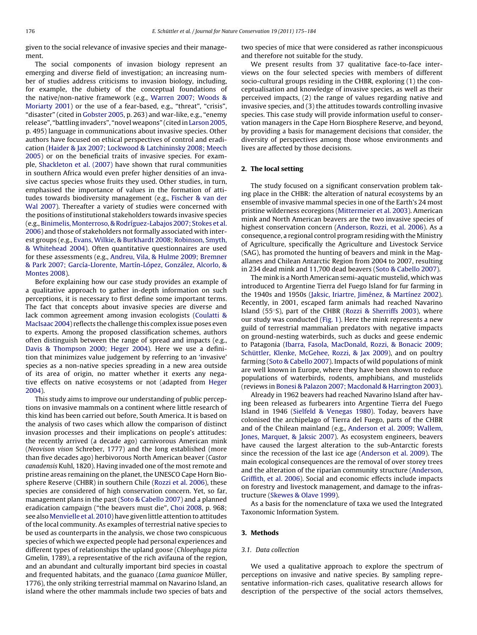<span id="page-1-0"></span>given to the social relevance of invasive species and their management.

The social components of invasion biology represent an emerging and diverse field of investigation; an increasing number of studies address criticisms to invasion biology, including, for example, the dubiety of the conceptual foundations of the native/non-native framework (e.g., [Warren 2007; Woods &](#page-9-0) [Moriarty 2001\)](#page-9-0) or the use of a fear-based, e.g., "threat", "crisis", "disaster" (cited in [Gobster 2005, p](#page-8-0). 263) and war-like, e.g., "enemy release", "battling invaders", "novel weapons" (cited in[Larson 2005,](#page-8-0) p. 495) language in communications about invasive species. Other authors have focused on ethical perspectives of control and eradication ([Haider & Jax 2007; Lockwood & Latchininsky 2008; Meech](#page-8-0) [2005\)](#page-8-0) or on the beneficial traits of invasive species. For example, [Shackleton et al. \(2007\)](#page-8-0) have shown that rural communities in southern Africa would even prefer higher densities of an invasive cactus species whose fruits they used. Other studies, in turn, emphasised the importance of values in the formation of attitudes towards biodiversity management (e.g., [Fischer & van der](#page-8-0) [Wal 2007\).](#page-8-0) Thereafter a variety of studies were concerned with the positions of institutional stakeholders towards invasive species (e.g., [Binimelis,Monterroso, & Rodríguez-Labajos 2007; Stokes et al.](#page-8-0) [2006\) a](#page-8-0)nd those of stakeholders not formally associated with interest groups (e.g., [Evans, Wilkie, & Burkhardt 2008; Robinson, Smyth,](#page-8-0) [& Whitehead 2004\).](#page-8-0) Often quantitative questionnaires are used for these assessments (e.g., [Andreu, Vila, & Hulme 2009; Bremner](#page-8-0) [& Park 2007; García-Llorente, Martín-López, González, Alcorlo, &](#page-8-0) **Montes 2008**).

Before explaining how our case study provides an example of a qualitative approach to gather in-depth information on such perceptions, it is necessary to first define some important terms. The fact that concepts about invasive species are diverse and lack common agreement among invasion ecologists ([Coulatti &](#page-8-0) [MacIsaac 2004\) r](#page-8-0)eflects the challenge this complex issue poses even to experts. Among the proposed classification schemes, authors often distinguish between the range of spread and impacts (e.g., [Davis & Thompson 2000; Heger 2004\).](#page-8-0) Here we use a definition that minimizes value judgement by referring to an 'invasive' species as a non-native species spreading in a new area outside of its area of origin, no matter whether it exerts any negative effects on native ecosystems or not (adapted from [Heger](#page-8-0) [2004\).](#page-8-0)

This study aims to improve our understanding of public perceptions on invasive mammals on a continent where little research of this kind has been carried out before, South America. It is based on the analysis of two cases which allow the comparison of distinct invasion processes and their implications on people's attitudes: the recently arrived (a decade ago) carnivorous American mink (Neovison vison Schreber, 1777) and the long established (more than five decades ago) herbivorous North American beaver (Castor canadensis Kuhl, 1820). Having invaded one of the most remote and pristine areas remaining on the planet, the UNESCO Cape Horn Biosphere Reserve (CHBR) in southern Chile ([Rozzi et al. 2006\),](#page-8-0) these species are considered of high conservation concern. Yet, so far, management plans in the past [\(Soto & Cabello 2007\) a](#page-9-0)nd a planned eradication campaign ("the beavers must die", [Choi 2008, p](#page-8-0). 968; see also [Menvielle et al. 2010\) h](#page-8-0)ave given little attention to attitudes of the local community. As examples of terrestrial native species to be used as counterparts in the analysis, we chose two conspicuous species of which we expected people had personal experiences and different types of relationships the upland goose (Chloephaga picta Gmelin, 1789), a representative of the rich avifauna of the region, and an abundant and culturally important bird species in coastal and frequented habitats, and the guanaco (Lama guanicoe Müller, 1776), the only striking terrestrial mammal on Navarino Island, an island where the other mammals include two species of bats and

two species of mice that were considered as rather inconspicuous and therefore not suitable for the study.

We present results from 37 qualitative face-to-face interviews on the four selected species with members of different socio-cultural groups residing in the CHBR, exploring (1) the conceptualisation and knowledge of invasive species, as well as their perceived impacts, (2) the range of values regarding native and invasive species, and (3) the attitudes towards controlling invasive species. This case study will provide information useful to conservation managers in the Cape Horn Biosphere Reserve, and beyond, by providing a basis for management decisions that consider, the diversity of perspectives among those whose environments and lives are affected by those decisions.

## **2. The local setting**

The study focused on a significant conservation problem taking place in the CHBR: the alteration of natural ecosystems by an ensemble of invasive mammal species in one of the Earth's 24 most pristine wilderness ecoregions [\(Mittermeier et al. 2003\).](#page-8-0) American mink and North American beavers are the two invasive species of highest conservation concern ([Anderson, Rozzi, et al. 2006\).](#page-7-0) As a consequence, a regional control program residing with the Ministry of Agriculture, specifically the Agriculture and Livestock Service (SAG), has promoted the hunting of beavers and mink in the Magallanes and Chilean Antarctic Region from 2004 to 2007, resulting in 234 dead mink and 11,700 dead beavers [\(Soto & Cabello 2007\).](#page-9-0)

The mink is a North American semi-aquatic mustelid, which was introduced to Argentine Tierra del Fuego Island for fur farming in the 1940s and 1950s ([Jaksic, Iriartre, Jiménez, & Martínez 2002\).](#page-8-0) Recently, in 2001, escaped farm animals had reached Navarino Island (55◦S), part of the CHBR ([Rozzi & Sherriffs 2003\),](#page-8-0) where our study was conducted ([Fig. 1\).](#page-2-0) Here the mink represents a new guild of terrestrial mammalian predators with negative impacts on ground-nesting waterbirds, such as ducks and geese endemic to Patagonia ([Ibarra, Fasola, MacDonald, Rozzi, & Bonacic 2009;](#page-8-0) [Schüttler, Klenke, McGehee, Rozzi, & Jax 2009\),](#page-8-0) and on poultry farming [\(Soto & Cabello 2007\).](#page-9-0) Impacts of wild populations of mink are well known in Europe, where they have been shown to reduce populations of waterbirds, rodents, amphibians, and mustelids (reviews in [Bonesi & Palazon 2007; Macdonald & Harrington 2003\).](#page-8-0)

Already in 1962 beavers had reached Navarino Island after having been released as furbearers into Argentine Tierra del Fuego Island in 1946 [\(Sielfeld & Venegas 1980\).](#page-9-0) Today, beavers have colonised the archipelago of Tierra del Fuego, parts of the CHBR and of the Chilean mainland (e.g., [Anderson et al. 2009; Wallem,](#page-7-0) [Jones, Marquet, & Jaksic 2007\).](#page-7-0) As ecosystem engineers, beavers have caused the largest alteration to the sub-Antarctic forests since the recession of the last ice age [\(Anderson et al. 2009\).](#page-7-0) The main ecological consequences are the removal of over storey trees and the alteration of the riparian community structure [\(Anderson,](#page-7-0) [Griffith, et al. 2006\).](#page-7-0) Social and economic effects include impacts on forestry and livestock management, and damage to the infrastructure ([Skewes & Olave 1999\).](#page-9-0)

As a basis for the nomenclature of taxa we used the Integrated Taxonomic Information System.

## **3. Methods**

#### 3.1. Data collection

We used a qualitative approach to explore the spectrum of perceptions on invasive and native species. By sampling representative information-rich cases, qualitative research allows for description of the perspective of the social actors themselves,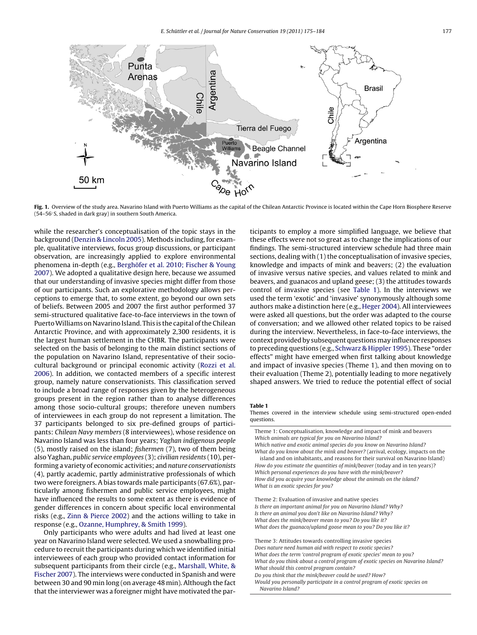<span id="page-2-0"></span>

Fig. 1. Overview of the study area. Navarino Island with Puerto Williams as the capital of the Chilean Antarctic Province is located within the Cape Horn Biosphere Reserve (54–56◦S, shaded in dark gray) in southern South America.

while the researcher's conceptualisation of the topic stays in the background [\(Denzin & Lincoln 2005\).](#page-8-0) Methods including, for example, qualitative interviews, focus group discussions, or participant observation, are increasingly applied to explore environmental phenomena in-depth (e.g., [Berghöfer et al. 2010; Fischer & Young](#page-8-0) [2007\).](#page-8-0) We adopted a qualitative design here, because we assumed that our understanding of invasive species might differ from those of our participants. Such an explorative methodology allows perceptions to emerge that, to some extent, go beyond our own sets of beliefs. Between 2005 and 2007 the first author performed 37 semi-structured qualitative face-to-face interviews in the town of Puerto Williams on Navarino Island. This is the capital of the Chilean Antarctic Province, and with approximately 2,300 residents, it is the largest human settlement in the CHBR. The participants were selected on the basis of belonging to the main distinct sections of the population on Navarino Island, representative of their sociocultural background or principal economic activity [\(Rozzi et al.](#page-8-0) [2006\).](#page-8-0) In addition, we contacted members of a specific interest group, namely nature conservationists. This classification served to include a broad range of responses given by the heterogeneous groups present in the region rather than to analyse differences among those socio-cultural groups; therefore uneven numbers of interviewees in each group do not represent a limitation. The 37 participants belonged to six pre-defined groups of participants: Chilean Navy members (8 interviewees), whose residence on Navarino Island was less than four years; Yaghan indigenous people (5), mostly raised on the island; fishermen (7), two of them being also Yaghan, public service employees (3); civilian residents (10), performing a variety of economic activities; and nature conservationists (4), partly academic, partly administrative professionals of which two were foreigners. A bias towards male participants (67.6%), particularly among fishermen and public service employees, might have influenced the results to some extent as there is evidence of gender differences in concern about specific local environmental risks (e.g., [Zinn & Pierce 2002\)](#page-9-0) and the actions willing to take in response (e.g., [Ozanne, Humphrey, & Smith 1999\).](#page-8-0)

Only participants who were adults and had lived at least one year on Navarino Island were selected. We used a snowballing procedure to recruit the participants during which we identified initial interviewees of each group who provided contact information for subsequent participants from their circle (e.g., [Marshall, White, &](#page-8-0) [Fischer 2007\).](#page-8-0) The interviews were conducted in Spanish and were between 30 and 90 min long (on average 48 min). Although the fact that the interviewer was a foreigner might have motivated the participants to employ a more simplified language, we believe that these effects were not so great as to change the implications of our findings. The semi-structured interview schedule had three main sections, dealing with (1) the conceptualisation of invasive species, knowledge and impacts of mink and beavers; (2) the evaluation of invasive versus native species, and values related to mink and beavers, and guanacos and upland geese; (3) the attitudes towards control of invasive species (see Table 1). In the interviews we used the term 'exotic' and 'invasive' synonymously although some authors make a distinction here (e.g., [Heger 2004\).](#page-8-0) All interviewees were asked all questions, but the order was adapted to the course of conversation; and we allowed other related topics to be raised during the interview. Nevertheless, in face-to-face interviews, the context provided by subsequent questionsmay influence responses to preceding questions (e.g., [Schwarz & Hippler 1995\).](#page-8-0) These "order effects" might have emerged when first talking about knowledge and impact of invasive species (Theme 1), and then moving on to their evaluation (Theme 2), potentially leading to more negatively shaped answers. We tried to reduce the potential effect of social

#### **Table 1**

Themes covered in the interview schedule using semi-structured open-ended questions.

Theme 1: Conceptualisation, knowledge and impact of mink and beavers Which animals are typical for you on Navarino Island?

Which native and exotic animal species do you know on Navarino Island? What do you know about the mink and beaver? (arrival, ecology, impacts on the island and on inhabitants, and reasons for their survival on Navarino Island) How do you estimate the quantities of mink/beaver (today and in ten years)? Which personal experiences do you have with the mink/beaver? How did you acquire your knowledge about the animals on the island? What is an exotic species for you?

Theme 2: Evaluation of invasive and native species Is there an important animal for you on Navarino Island? Why? Is there an animal you don't like on Navarino Island? Why? What does the mink/beaver mean to you? Do you like it? What does the guanaco/upland goose mean to you? Do you like it?

Theme 3: Attitudes towards controlling invasive species Does nature need human aid with respect to exotic species? What does the term 'control program of exotic species' mean to you? What do you think about a control program of exotic species on Navarino Island? What should this control program contain? Do you think that the mink/beaver could be used? How? Would you personally participate in a control program of exotic species on Navarino Island?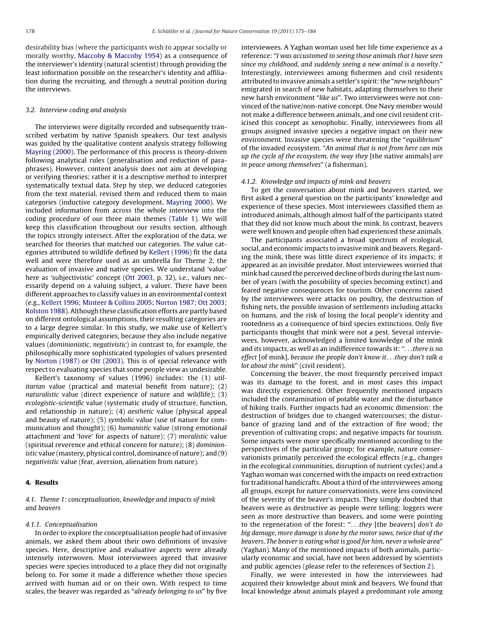desirability bias (where the participants wish to appear socially or morally worthy, [Maccoby & Maccoby 1954\)](#page-8-0) as a consequence of the interviewer's identity (natural scientist) through providing the least information possible on the researcher's identity and affiliation during the recruiting, and through a neutral position during the interviews.

## 3.2. Interview coding and analysis

The interviews were digitally recorded and subsequently transcribed verbatim by native Spanish speakers. Our text analysis was guided by the qualitative content analysis strategy following [Mayring \(2000\). T](#page-8-0)he performance of this process is theory-driven following analytical rules (generalisation and reduction of paraphrases). However, content analysis does not aim at developing or verifying theories; rather it is a descriptive method to interpret systematically textual data. Step by step, we deduced categories from the text material, revised them and reduced them to main categories (inductive category development, [Mayring 2000\).](#page-8-0) We included information from across the whole interview into the coding procedure of our three main themes [\(Table 1\).](#page-2-0) We will keep this classification throughout our results section, although the topics strongly intersect. After the exploration of the data, we searched for theories that matched our categories. The value categories attributed to wildlife defined by [Kellert \(1996\)](#page-8-0) fit the data well and were therefore used as an umbrella for Theme 2, the evaluation of invasive and native species. We understand 'value' here as 'subjectivistic' concept ([Ott 2003, p](#page-8-0). 32), i.e., values necessarily depend on a valuing subject, a valuer. There have been different approaches to classify values in an environmental context (e.g., [Kellert 1996; Minteer & Collins 2005; Norton 1987; Ott 2003;](#page-8-0) [Rolston 1988\).](#page-8-0) Although these classification efforts are partly based on different ontological assumptions, their resulting categories are to a large degree similar. In this study, we make use of Kellert's empirically derived categories, because they also include negative values (dominionistic, negativistic) in contrast to, for example, the philosophically more sophisticated typologies of values presented by [Norton \(1987\)](#page-8-0) or [Ott \(2003\). T](#page-8-0)his is of special relevance with respect to evaluating species that some people view as undesirable.

Kellert's taxonomy of values (1996) includes: the (1) utilitarian value (practical and material benefit from nature); (2) naturalistic value (direct experience of nature and wildlife); (3) ecologistic-scientific value (systematic study of structure, function, and relationship in nature); (4) aesthetic value (physical appeal and beauty of nature); (5) symbolic value (use of nature for communication and thought); (6) humanistic value (strong emotional attachment and 'love' for aspects of nature); (7) moralistic value (spiritual reverence and ethical concern for nature); (8) dominionistic value (mastery, physical control, dominance of nature); and (9) negativistic value (fear, aversion, alienation from nature).

## **4. Results**

4.1. Theme 1: conceptualisation, knowledge and impacts of mink and beavers

## 4.1.1. Conceptualisation

In order to explore the conceptualisation people had of invasive animals, we asked them about their own definitions of invasive species. Here, descriptive and evaluative aspects were already intensely interwoven. Most interviewees agreed that invasive species were species introduced to a place they did not originally belong to. For some it made a difference whether those species arrived with human aid or on their own. With respect to time scales, the beaver was regarded as "already belonging to us" by five interviewees. A Yaghan woman used her life time experience as a reference: "I was accustomed to seeing those animals that I have seen since my childhood, and suddenly seeing a new animal is a novelty." Interestingly, interviewees among fishermen and civil residents attributed to invasive animals a settler's spirit: the "new neighbours" emigrated in search of new habitats, adapting themselves to their new harsh environment "like us". Two interviewees were not convinced of the native/non-native concept. One Navy member would not make a difference between animals, and one civil resident criticised this concept as xenophobic. Finally, interviewees from all groups assigned invasive species a negative impact on their new environment. Invasive species were threatening the "equilibrium" of the invaded ecosystem. "An animal that is not from here can mix up the cycle of the ecosystem, the way they [the native animals] are in peace among themselves" (a fisherman).

#### 4.1.2. Knowledge and impacts of mink and beavers

To get the conversation about mink and beavers started, we first asked a general question on the participants' knowledge and experience of these species. Most interviewees classified them as introduced animals, although almost half of the participants stated that they did not know much about the mink. In contrast, beavers were well known and people often had experienced these animals.

The participants associated a broad spectrum of ecological, social, and economic impacts to invasive mink and beavers. Regarding the mink, there was little direct experience of its impacts; it appeared as an invisible predator. Most interviewees worried that mink had caused the perceived decline of birds during the last number of years (with the possibility of species becoming extinct) and feared negative consequences for tourism. Other concerns raised by the interviewees were attacks on poultry, the destruction of fishing nets, the possible invasion of settlements including attacks on humans, and the risk of losing the local people's identity and rootedness as a consequence of bird species extinctions. Only five participants thought that mink were not a pest. Several interviewees, however, acknowledged a limited knowledge of the mink and its impacts, as well as an indifference towards it: "...there is no effect [of mink], because the people don't know it...they don't talk a lot about the mink" (civil resident).

Concerning the beaver, the most frequently perceived impact was its damage to the forest, and in most cases this impact was directly experienced. Other frequently mentioned impacts included the contamination of potable water and the disturbance of hiking trails. Further impacts had an economic dimension: the destruction of bridges due to changed watercourses; the disturbance of grazing land and of the extraction of fire wood; the prevention of cultivating crops; and negative impacts for tourism. Some impacts were more specifically mentioned according to the perspectives of the particular group; for example, nature conservationists primarily perceived the ecological effects (e.g., changes in the ecological communities, disruption of nutrient cycles) and a Yaghan woman was concerned with the impacts on reed extraction for traditional handicrafts. About a third of the interviewees among all groups, except for nature conservationists, were less convinced of the severity of the beaver's impacts. They simply doubted that beavers were as destructive as people were telling: loggers were seen as more destructive than beavers, and some were pointing to the regeneration of the forest: "...they [the beavers] don't do big damage, more damage is done by the motor saws, twice that of the beavers. The beaver is eating what is good for him, never a whole area" (Yaghan). Many of the mentioned impacts of both animals, particularly economic and social, have not been addressed by scientists and public agencies (please refer to the references of Section [2\).](#page-1-0)

Finally, we were interested in how the interviewees had acquired their knowledge about mink and beavers. We found that local knowledge about animals played a predominant role among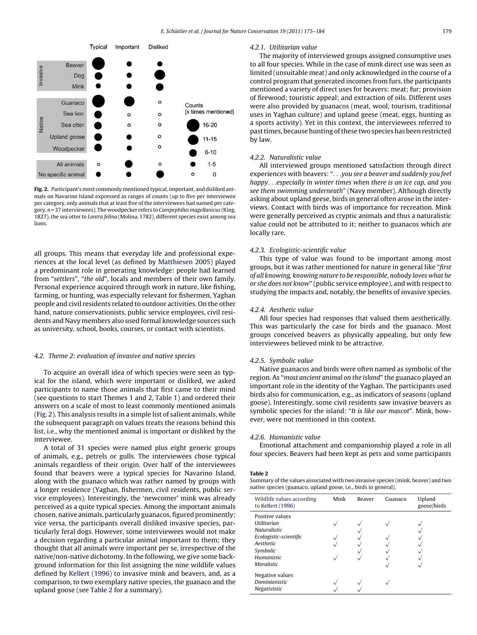

**Fig. 2.** Participant's most commonly mentioned typical, important, and disliked animals on Navarino Island expressed as ranges of counts (up to five per interviewee per category, only animals that at least five of the interviewees had named per category,  $n = 37$  interviewees). The woodpecker refers to *Campenhilus magellanicus* (King, 1827), the sea otter to Lontra felina (Molina, 1782), different species exist among sea lions.

all groups. This means that everyday life and professional experiences at the local level (as defined by [Matthiesen 2005\)](#page-8-0) played a predominant role in generating knowledge: people had learned from "settlers", "the old", locals and members of their own family. Personal experience acquired through work in nature, like fishing, farming, or hunting, was especially relevant for fishermen, Yaghan people and civil residents related to outdoor activities. On the other hand, nature conservationists, public service employees, civil residents and Navy members also used formal knowledge sources such as university, school, books, courses, or contact with scientists.

## 4.2. Theme 2: evaluation of invasive and native species

To acquire an overall idea of which species were seen as typical for the island, which were important or disliked, we asked participants to name those animals that first came to their mind (see questions to start Themes 1 and 2, [Table 1\)](#page-2-0) and ordered their answers on a scale of most to least commonly mentioned animals (Fig. 2). This analysis results in a simple list of salient animals, while the subsequent paragraph on values treats the reasons behind this list, i.e., why the mentioned animal is important or disliked by the interviewee.

A total of 31 species were named plus eight generic groups of animals, e.g., petrels or gulls. The interviewees chose typical animals regardless of their origin. Over half of the interviewees found that beavers were a typical species for Navarino Island, along with the guanaco which was rather named by groups with a longer residence (Yaghan, fishermen, civil residents, public service employees). Interestingly, the 'newcomer' mink was already perceived as a quite typical species. Among the important animals chosen, native animals, particularly guanacos, figured prominently; vice versa, the participants overall disliked invasive species, particularly feral dogs. However, some interviewees would not make a decision regarding a particular animal important to them; they thought that all animals were important per se, irrespective of the native/non-native dichotomy. In the following, we give some background information for this list assigning the nine wildlife values defined by [Kellert \(1996\)](#page-8-0) to invasive mink and beavers, and, as a comparison, to two exemplary native species, the guanaco and the upland goose (see Table 2 for a summary).

## 4.2.1. Utilitarian value

The majority of interviewed groups assigned consumptive uses to all four species. While in the case of mink direct use was seen as limited (unsuitable meat) and only acknowledged in the course of a control program that generated incomes from furs, the participants mentioned a variety of direct uses for beavers: meat; fur; provision of firewood; touristic appeal; and extraction of oils. Different uses were also provided by guanacos (meat, wool, tourism, traditional uses in Yaghan culture) and upland geese (meat, eggs, hunting as a sports activity). Yet in this context, the interviewees referred to past times, because hunting of these two species has been restricted by law.

## 4.2.2. Naturalistic value

All interviewed groups mentioned satisfaction through direct experiences with beavers: "...you see a beaver and suddenly you feel happy...especially in winter times when there is an ice cap, and you see them swimming underneath" (Navy member). Although directly asking about upland geese, birds in general often arose in the interviews. Contact with birds was of importance for recreation. Mink were generally perceived as cryptic animals and thus a naturalistic value could not be attributed to it; neither to guanacos which are locally rare.

## 4.2.3. Ecologistic-scientific value

This type of value was found to be important among most groups, but it was rather mentioned for nature in general like "first of all knowing, knowing nature to be responsible, nobody loves what he or she does not know" (public service employee), and with respect to studying the impacts and, notably, the benefits of invasive species.

## 4.2.4. Aesthetic value

All four species had responses that valued them aesthetically. This was particularly the case for birds and the guanaco. Most groups conceived beavers as physically appealing, but only few interviewees believed mink to be attractive.

#### 4.2.5. Symbolic value

Native guanacos and birds were often named as symbolic of the region. As "most ancient animal on the island" the guanaco played an important role in the identity of the Yaghan. The participants used birds also for communication, e.g., as indicators of seasons (upland goose). Interestingly, some civil residents saw invasive beavers as symbolic species for the island: "It is like our mascot". Mink, however, were not mentioned in this context.

#### 4.2.6. Humanistic value

Emotional attachment and companionship played a role in all four species. Beavers had been kept as pets and some participants

#### **Table 2**

Summary of the values associated with two invasive species (mink, beaver) and two native species (guanaco, upland goose, i.e., birds in general).

| Wildlife values according<br>to Kellert (1996)                                                                                              | Mink | Beaver | Guanaco | Upland<br>goose/birds |
|---------------------------------------------------------------------------------------------------------------------------------------------|------|--------|---------|-----------------------|
| Positive values<br><b>Utilitarian</b><br><b>Naturalistic</b><br>Ecologistic-scientific<br>Aesthetic<br>Symbolic<br>Humanistic<br>Moralistic |      |        |         |                       |
| Negative values<br><b>Dominionistic</b><br>Negativistic                                                                                     |      |        |         |                       |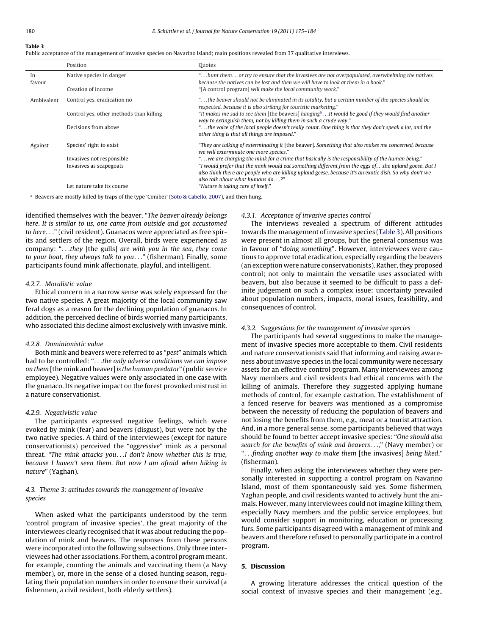## <span id="page-5-0"></span>**Table 3**

|  |  |  |  | Public acceptance of the management of invasive species on Navarino Island: main positions revealed from 37 qualitative interviews. |
|--|--|--|--|-------------------------------------------------------------------------------------------------------------------------------------|
|  |  |  |  |                                                                                                                                     |
|  |  |  |  |                                                                                                                                     |
|  |  |  |  |                                                                                                                                     |
|  |  |  |  |                                                                                                                                     |

|              | Position                                | Ouotes                                                                                                                                                                                                                                            |
|--------------|-----------------------------------------|---------------------------------------------------------------------------------------------------------------------------------------------------------------------------------------------------------------------------------------------------|
| In<br>favour | Native species in danger                | "hunt themor try to ensure that the invasives are not overpopulated, overwhelming the natives,<br>because the natives can be lost and then we will have to look at them in a book."                                                               |
|              | Creation of income                      | "[A control program] will make the local community work."                                                                                                                                                                                         |
| Ambivalent   | Control yes, eradication no             | the beaver should not be eliminated in its totality, but a certain number of the species should be "<br>respected, because it is also striking for touristic marketing."                                                                          |
|              | Control yes, other methods than killing | "It makes me sad to see them [the beavers] hanging <sup>a</sup> It would be good if they would find another<br>way to extinguish them, not by killing them in such a crude way."                                                                  |
|              | Decisions from above                    | "the voice of the local people doesn't really count. One thing is that they don't speak a lot, and the<br>other thing is that all things are imposed."                                                                                            |
| Against      | Species' right to exist                 | "They are talking of exterminating it [the beaver]. Something that also makes me concerned, because<br>we will exterminate one more species."                                                                                                     |
|              | Invasives not responsible               | " we are charging the mink for a crime that basically is the responsibility of the human being."                                                                                                                                                  |
|              | Invasives as scapegoats                 | "I would prefer that the mink would eat something different from the eggs ofthe upland goose. But I<br>also think there are people who are killing upland geese, because it's an exotic dish. So why don't we<br>also talk about what humans do?" |
|              | Let nature take its course              | "Nature is taking care of itself."                                                                                                                                                                                                                |

<sup>a</sup> Beavers are mostly killed by traps of the type 'Coniber' ([Soto & Cabello, 2007\),](#page-9-0) and then hung.

identified themselves with the beaver. "The beaver already belongs here. It is similar to us, one came from outside and got accustomed to here..." (civil resident). Guanacos were appreciated as free spirits and settlers of the region. Overall, birds were experienced as company: "...they [the gulls] are with you in the sea, they come to your boat, they always talk to you..." (fisherman). Finally, some participants found mink affectionate, playful, and intelligent.

## 4.2.7. Moralistic value

Ethical concern in a narrow sense was solely expressed for the two native species. A great majority of the local community saw feral dogs as a reason for the declining population of guanacos. In addition, the perceived decline of birds worried many participants, who associated this decline almost exclusively with invasive mink.

#### 4.2.8. Dominionistic value

Both mink and beavers were referred to as "pest" animals which had to be controlled: "...the only adverse conditions we can impose on them [the mink and beaver] is the human predator" (public service employee). Negative values were only associated in one case with the guanaco. Its negative impact on the forest provoked mistrust in a nature conservationist.

## 4.2.9. Negativistic value

The participants expressed negative feelings, which were evoked by mink (fear) and beavers (disgust), but were not by the two native species. A third of the interviewees (except for nature conservationists) perceived the "aggressive" mink as a personal threat. "The mink attacks you...I don't know whether this is true, because I haven't seen them. But now I am afraid when hiking in nature" (Yaghan).

## 4.3. Theme 3: attitudes towards the management of invasive species

When asked what the participants understood by the term 'control program of invasive species', the great majority of the interviewees clearly recognised that it was about reducing the population of mink and beavers. The responses from these persons were incorporated into the following subsections. Only three interviewees had other associations. For them, a control program meant, for example, counting the animals and vaccinating them (a Navy member), or, more in the sense of a closed hunting season, regulating their population numbers in order to ensure their survival (a fishermen, a civil resident, both elderly settlers).

## 4.3.1. Acceptance of invasive species control

The interviews revealed a spectrum of different attitudes towards the management of invasive species (Table 3). All positions were present in almost all groups, but the general consensus was in favour of "doing something". However, interviewees were cautious to approve total eradication, especially regarding the beavers (an exception were nature conservationists). Rather, they proposed control; not only to maintain the versatile uses associated with beavers, but also because it seemed to be difficult to pass a definite judgement on such a complex issue: uncertainty prevailed about population numbers, impacts, moral issues, feasibility, and consequences of control.

## 4.3.2. Suggestions for the management of invasive species

The participants had several suggestions to make the management of invasive species more acceptable to them. Civil residents and nature conservationists said that informing and raising awareness about invasive species in the local community were necessary assets for an effective control program. Many interviewees among Navy members and civil residents had ethical concerns with the killing of animals. Therefore they suggested applying humane methods of control, for example castration. The establishment of a fenced reserve for beavers was mentioned as a compromise between the necessity of reducing the population of beavers and not losing the benefits from them, e.g., meat or a tourist attraction. And, in a more general sense, some participants believed that ways should be found to better accept invasive species: "One should also search for the benefits of mink and beavers...," (Navy member) or "...finding another way to make them [the invasives] being liked," (fisherman).

Finally, when asking the interviewees whether they were personally interested in supporting a control program on Navarino Island, most of them spontaneously said yes. Some fishermen, Yaghan people, and civil residents wanted to actively hunt the animals. However, many interviewees could not imagine killing them, especially Navy members and the public service employees, but would consider support in monitoring, education or processing furs. Some participants disagreed with a management of mink and beavers and therefore refused to personally participate in a control program.

## **5. Discussion**

A growing literature addresses the critical question of the social context of invasive species and their management (e.g.,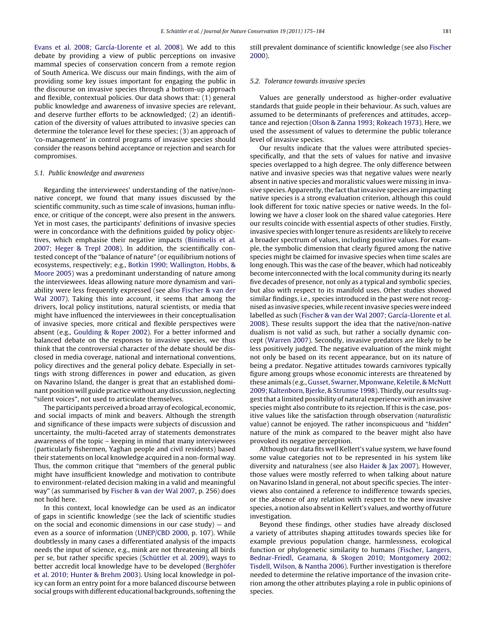[Evans et al. 2008; García-Llorente et al. 2008\).](#page-8-0) We add to this debate by providing a view of public perceptions on invasive mammal species of conservation concern from a remote region of South America. We discuss our main findings, with the aim of providing some key issues important for engaging the public in the discourse on invasive species through a bottom-up approach and flexible, contextual policies. Our data shows that: (1) general public knowledge and awareness of invasive species are relevant, and deserve further efforts to be acknowledged; (2) an identification of the diversity of values attributed to invasive species can determine the tolerance level for these species; (3) an approach of 'co-management' in control programs of invasive species should consider the reasons behind acceptance or rejection and search for compromises.

## 5.1. Public knowledge and awareness

Regarding the interviewees' understanding of the native/nonnative concept, we found that many issues discussed by the scientific community, such as time scale of invasions, human influence, or critique of the concept, were also present in the answers. Yet in most cases, the participants' definitions of invasive species were in concordance with the definitions guided by policy objectives, which emphasise their negative impacts ([Binimelis et al.](#page-8-0) [2007; Heger & Trepl 2008\).](#page-8-0) In addition, the scientifically contested concept of the "balance of nature" (or equilibrium notions of ecosystems, respectively; e.g., [Botkin 1990; Wallington, Hobbs, &](#page-8-0) [Moore 2005\)](#page-8-0) was a predominant understanding of nature among the interviewees. Ideas allowing nature more dynamism and variability were less frequently expressed (see also [Fischer & van der](#page-8-0) [Wal 2007\).](#page-8-0) Taking this into account, it seems that among the drivers, local policy institutions, natural scientists, or media that might have influenced the interviewees in their conceptualisation of invasive species, more critical and flexible perspectives were absent (e.g., [Goulding & Roper 2002\).](#page-8-0) For a better informed and balanced debate on the responses to invasive species, we thus think that the controversial character of the debate should be disclosed in media coverage, national and international conventions, policy directives and the general policy debate. Especially in settings with strong differences in power and education, as given on Navarino Island, the danger is great that an established dominant position will guide practice without any discussion, neglecting "silent voices", not used to articulate themselves.

The participants perceived a broad array of ecological, economic, and social impacts of mink and beavers. Although the strength and significance of these impacts were subjects of discussion and uncertainty, the multi-faceted array of statements demonstrates awareness of the topic – keeping in mind that many interviewees (particularly fishermen, Yaghan people and civil residents) based their statements on local knowledge acquired in a non-formal way. Thus, the common critique that "members of the general public might have insufficient knowledge and motivation to contribute to environment-related decision making in a valid and meaningful way" (as summarised by [Fischer & van der Wal 2007, p](#page-8-0). 256) does not hold here.

In this context, local knowledge can be used as an indicator of gaps in scientific knowledge (see the lack of scientific studies on the social and economic dimensions in our case study)  $-$  and even as a source of information [\(UNEP/CBD 2000,](#page-9-0) p. 107). While doubtlessly in many cases a differentiated analysis of the impacts needs the input of science, e.g., mink are not threatening all birds per se, but rather specific species ([Schüttler et al. 2009\),](#page-8-0) ways to better accredit local knowledge have to be developed ([Berghöfer](#page-8-0) [et al. 2010; Hunter & Brehm 2003\).](#page-8-0) Using local knowledge in policy can form an entry point for a more balanced discourse between social groups with different educational backgrounds, softening the

still prevalent dominance of scientific knowledge (see also [Fischer](#page-8-0) [2000\).](#page-8-0)

## 5.2. Tolerance towards invasive species

Values are generally understood as higher-order evaluative standards that guide people in their behaviour. As such, values are assumed to be determinants of preferences and attitudes, acceptance and rejection ([Olson & Zanna 1993; Rokeach 1973\).](#page-8-0) Here, we used the assessment of values to determine the public tolerance level of invasive species.

Our results indicate that the values were attributed speciesspecifically, and that the sets of values for native and invasive species overlapped to a high degree. The only difference between native and invasive species was that negative values were nearly absent in native species and moralistic values were missing in invasive species. Apparently, the fact that invasive species are impacting native species is a strong evaluation criterion, although this could look different for toxic native species or native weeds. In the following we have a closer look on the shared value categories. Here our results coincide with essential aspects of other studies. Firstly, invasive species with longer tenure as residents are likely to receive a broader spectrum of values, including positive values. For example, the symbolic dimension that clearly figured among the native species might be claimed for invasive species when time scales are long enough. This was the case of the beaver, which had noticeably become interconnected with the local community during its nearly five decades of presence, not only as a typical and symbolic species, but also with respect to its manifold uses. Other studies showed similar findings, i.e., species introduced in the past were not recognised as invasive species, while recent invasive species were indeed labelled as such ([Fischer & van der Wal 2007; García-Llorente et al.](#page-8-0) [2008\).](#page-8-0) These results support the idea that the native/non-native dualism is not valid as such, but rather a socially dynamic concept [\(Warren 2007\).](#page-9-0) Secondly, invasive predators are likely to be less positively judged. The negative evaluation of the mink might not only be based on its recent appearance, but on its nature of being a predator. Negative attitudes towards carnivores typically figure among groups whose economic interests are threatened by these animals (e.g., [Gusset, Swarner, Mponwane, Keletile, & McNutt](#page-8-0) [2009; Kaltenborn, Bjerke, & Strumse 1998\).](#page-8-0) Thirdly, our results suggest that a limited possibility of natural experience with an invasive species might also contribute to its rejection. If this is the case, positive values like the satisfaction through observation (naturalistic value) cannot be enjoyed. The rather inconspicuous and "hidden" nature of the mink as compared to the beaver might also have provoked its negative perception.

Although our data fits well Kellert's value system, we have found some value categories not to be represented in his system like diversity and naturalness (see also [Haider & Jax 2007\).](#page-8-0) However, those values were mostly referred to when talking about nature on Navarino Island in general, not about specific species. The interviews also contained a reference to indifference towards species, or the absence of any relation with respect to the new invasive species, a notion also absent in Kellert's values, and worthy of future investigation.

Beyond these findings, other studies have already disclosed a variety of attributes shaping attitudes towards species like for example previous population change, harmlessness, ecological function or phylogenetic similarity to humans [\(Fischer, Langers,](#page-8-0) [Bednar-Friedl, Geamana, & Skogen 2010; Montgomery 2002;](#page-8-0) [Tisdell, Wilson, & Nantha 2006\).](#page-8-0) Further investigation is therefore needed to determine the relative importance of the invasion criterion among the other attributes playing a role in public opinions of species.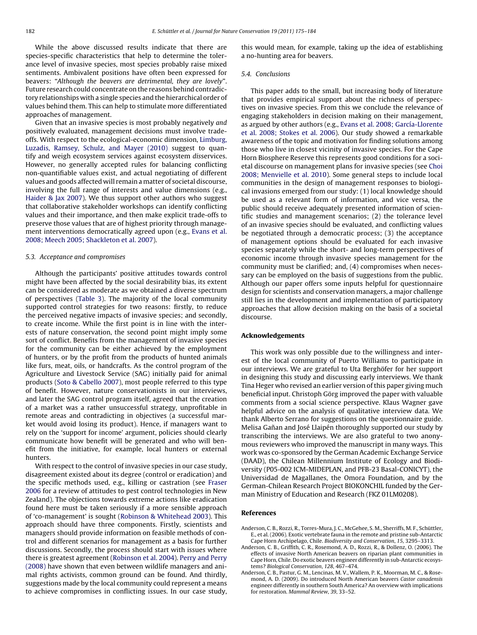<span id="page-7-0"></span>While the above discussed results indicate that there are species-specific characteristics that help to determine the tolerance level of invasive species, most species probably raise mixed sentiments. Ambivalent positions have often been expressed for beavers: "Although the beavers are detrimental, they are lovely". Future research could concentrate on the reasons behind contradictory relationships with a single species and the hierarchical order of values behind them. This can help to stimulate more differentiated approaches of management.

Given that an invasive species is most probably negatively and positively evaluated, management decisions must involve tradeoffs. With respect to the ecological-economic dimension, [Limburg,](#page-8-0) [Luzadis, Ramsey, Schulz, and Mayer \(2010\)](#page-8-0) suggest to quantify and weigh ecosystem services against ecosystem disservices. However, no generally accepted rules for balancing conflicting non-quantifiable values exist, and actual negotiating of different values and goods affected will remain a matter of societal discourse, involving the full range of interests and value dimensions (e.g., [Haider & Jax 2007\).](#page-8-0) We thus support other authors who suggest that collaborative stakeholder workshops can identify conflicting values and their importance, and then make explicit trade-offs to preserve those values that are of highest priority through management interventions democratically agreed upon (e.g., [Evans et al.](#page-8-0) [2008; Meech 2005; Shackleton et al. 2007\).](#page-8-0)

#### 5.3. Acceptance and compromises

Although the participants' positive attitudes towards control might have been affected by the social desirability bias, its extent can be considered as moderate as we obtained a diverse spectrum of perspectives ([Table 3\)](#page-5-0). The majority of the local community supported control strategies for two reasons: firstly, to reduce the perceived negative impacts of invasive species; and secondly, to create income. While the first point is in line with the interests of nature conservation, the second point might imply some sort of conflict. Benefits from the management of invasive species for the community can be either achieved by the employment of hunters, or by the profit from the products of hunted animals like furs, meat, oils, or handcrafts. As the control program of the Agriculture and Livestock Service (SAG) initially paid for animal products [\(Soto & Cabello 2007\),](#page-9-0) most people referred to this type of benefit. However, nature conservationists in our interviews, and later the SAG control program itself, agreed that the creation of a market was a rather unsuccessful strategy, unprofitable in remote areas and contradicting in objectives (a successful market would avoid losing its product). Hence, if managers want to rely on the 'support for income' argument, policies should clearly communicate how benefit will be generated and who will benefit from the initiative, for example, local hunters or external hunters.

With respect to the control of invasive species in our case study, disagreement existed about its degree (control or eradication) and the specific methods used, e.g., killing or castration (see [Fraser](#page-8-0) [2006](#page-8-0) for a review of attitudes to pest control technologies in New Zealand). The objections towards extreme actions like eradication found here must be taken seriously if a more sensible approach of 'co-management' is sought [\(Robinson & Whitehead 2003\).](#page-8-0) This approach should have three components. Firstly, scientists and managers should provide information on feasible methods of control and different scenarios for management as a basis for further discussions. Secondly, the process should start with issues where there is greatest agreement ([Robinson et al. 2004\).](#page-8-0) [Perry and Perry](#page-8-0) [\(2008\)](#page-8-0) have shown that even between wildlife managers and animal rights activists, common ground can be found. And thirdly, suggestions made by the local community could represent a means to achieve compromises in conflicting issues. In our case study, this would mean, for example, taking up the idea of establishing a no-hunting area for beavers.

## 5.4. Conclusions

This paper adds to the small, but increasing body of literature that provides empirical support about the richness of perspectives on invasive species. From this we conclude the relevance of engaging stakeholders in decision making on their management, as argued by other authors (e.g., [Evans et al. 2008; García-Llorente](#page-8-0) [et al. 2008; Stokes et al. 2006\).](#page-8-0) Our study showed a remarkable awareness of the topic and motivation for finding solutions among those who live in closest vicinity of invasive species. For the Cape Horn Biosphere Reserve this represents good conditions for a societal discourse on management plans for invasive species (see [Choi](#page-8-0) [2008; Menvielle et al. 2010\).](#page-8-0) Some general steps to include local communities in the design of management responses to biological invasions emerged from our study: (1) local knowledge should be used as a relevant form of information, and vice versa, the public should receive adequately presented information of scientific studies and management scenarios; (2) the tolerance level of an invasive species should be evaluated, and conflicting values be negotiated through a democratic process; (3) the acceptance of management options should be evaluated for each invasive species separately while the short- and long-term perspectives of economic income through invasive species management for the community must be clarified; and, (4) compromises when necessary can be employed on the basis of suggestions from the public. Although our paper offers some inputs helpful for questionnaire design for scientists and conservation managers, a major challenge still lies in the development and implementation of participatory approaches that allow decision making on the basis of a societal discourse.

#### **Acknowledgements**

This work was only possible due to the willingness and interest of the local community of Puerto Williams to participate in our interviews. We are grateful to Uta Berghöfer for her support in designing this study and discussing early interviews. We thank Tina Heger who revised an earlier version of this paper giving much beneficial input. Christoph Görg improved the paper with valuable comments from a social science perspective. Klaus Wagner gave helpful advice on the analysis of qualitative interview data. We thank Alberto Serrano for suggestions on the questionnaire guide. Melisa Gañan and José Llaipén thoroughly supported our study by transcribing the interviews. We are also grateful to two anonymous reviewers who improved the manuscript in many ways. This work was co-sponsored by the German Academic Exchange Service (DAAD), the Chilean Millennium Institute of Ecology and Biodiversity (P05-002 ICM-MIDEPLAN, and PFB-23 Basal-CONICYT), the Universidad de Magallanes, the Omora Foundation, and by the German-Chilean Research Project BIOKONCHIL funded by the German Ministry of Education and Research (FKZ 01LM0208).

#### **References**

- Anderson, C. B., Rozzi, R., Torres-Mura, J. C., McGehee, S. M., Sherriffs, M. F., Schüttler, E., et al. (2006). Exotic vertebrate fauna in the remote and pristine sub-Antarctic Cape Horn Archipelago, Chile. Biodiversity and Conservation, 15, 3295–3313.
- Anderson, C. B., Griffith, C. R., Rosemond, A. D., Rozzi, R., & Dollenz, O. (2006). The effects of invasive North American beavers on riparian plant communities in Cape Horn, Chile. Do exotic beavers engineer differently in sub-Antarctic ecosystems? Biological Conservation, 128, 467–474.
- Anderson, C. B., Pastur, G. M., Lencinas, M. V., Wallem, P. K., Moorman, M. C., & Rosemond, A. D. (2009). Do introduced North American beavers Castor canadensis engineer differently in southern South America? An overview with implications for restoration. Mammal Review, 39, 33–52.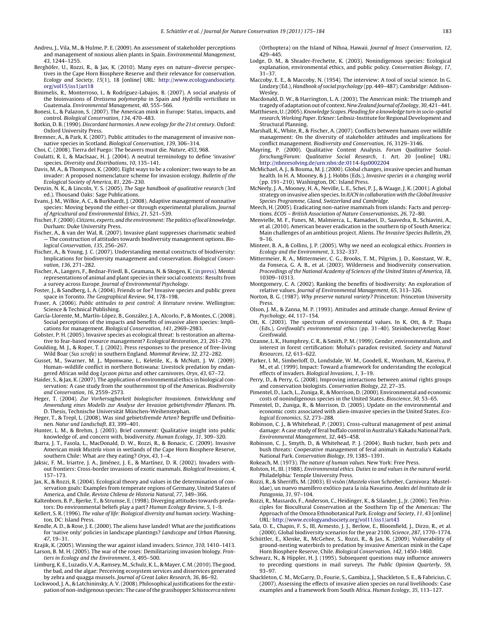- <span id="page-8-0"></span>Andreu, J., Vila, M., & Hulme, P. E. (2009). An assessment of stakeholder perceptions and management of noxious alien plants in Spain. Environmental Management, 43, 1244–1255.
- Berghöfer, U., Rozzi, R., & Jax, K. (2010). Many eyes on nature–diverse perspectives in the Cape Horn Biosphere Reserve and their relevance for conservation. Ecology and Society, 15(1), 18 [online] URL: [http://www.ecologyandsociety.](http://www.ecologyandsociety.org/vol15/iss1/art18) org/vol15/iss1/art18
- Binimelis, R., Monterroso, I., & Rodríguez-Labajos, B. (2007). A social analysis of the bioinvasions of Dreissena polymorpha in Spain and Hydrilla verticillata in Guatemala. Environmental Management, 40, 555–566.
- Bonesi, L., & Palazon, S. (2007). The American mink in Europe: Status, impacts, and control. Biological Conservation, 134, 470–483.
- Botkin, D. B. (1990). Discordant harmonies. A new ecology for the 21st century. Oxford: Oxford University Press.
- Bremner, A., & Park, K. (2007). Public attitudes to the management of invasive nonnative species in Scotland. Biological Conservation, 139, 306–314.
- Choi, C. (2008). Tierra del Fuego: The beavers must die. Nature, 453, 968.
- Coulatti, R. I., & MacIsaac, H. J. (2004). A neutral terminology to define 'invasive' species. Diversity and Distributions, 10, 135–141.
- Davis, M. A., & Thompson, K. (2000). Eight ways to be a colonizer; two ways to be an invader: A proposed nomenclature scheme for invasion ecology. Bulletin of the Ecological Society of America, 81, 226–230.
- Denzin, N. K., & Lincoln, Y. S. (2005). The Sage handbook of qualitative research (3rd ed.). Thousand Oaks: Sage Publications.
- Evans, J. M., Wilkie, A. C., & Burkhardt, J. (2008). Adaptive management of nonnative species: Moving beyond the either-or through experimental pluralism. Journal of Agricultural and Environmental Ethics, 21, 521–539.
- Fischer, F. (2000). Citizens, experts, and the environment: The politics of local knowledge. Durham: Duke University Press.
- Fischer, A., & van der Wal, R. (2007). Invasive plant suppresses charismatic seabird — The construction of attitudes towards biodiversity management options. Biological Conservation, 135, 256–267.
- Fischer, A., & Young, J. C. (2007). Understanding mental constructs of biodiversity: Implications for biodiversity management and conservation. Biological Conservation, 136, 271–282.
- Fischer, A., Langers, F., Bednar-Friedl, B., Geamana, N. & Skogen, K. ([in press\)](http://dx.doi.org/10.1016/j.jenvp.2010.05.005). Mental representations of animal and plant species in their social contexts: Results from a survey across Europe. Journal of Environmental Psychology.
- Foster, J., & Sandberg, L. A. (2004). Friends or foe? Invasive species and public green space in Toronto. The Geographical Review, 94, 178–198.
- Fraser, A. (2006). Public attitudes to pest control: A literature review. Wellington: Science & Technical Publishing.
- García-Llorente, M., Martín-López, B., González, J. A., Alcorlo, P., & Montes, C. (2008). Social perceptions of the impacts and benefits of invasive alien species: Implications for management. Biological Conservation, 141, 2969–2983.
- Gobster, P. H. (2005). Invasive species as ecological threat: Is restoration an alternative to fear-based resource management? Ecological Restoration, 23, 261–270.
- Goulding, M. J., & Roper, T. J. (2002). Press responses to the presence of free-living Wild Boar (Sus scrofa) in southern England. Mammal Review, 32, 272–282.
- Gusset, M., Swarner, M. J., Mponwane, L., Keletile, K., & McNutt, J. W. (2009). Human–wildlife conflict in northern Botswana: Livestock predation by endangered African wild dog Lycaon pictus and other carnivores. Oryx, 43, 67–72.
- Haider, S., & Jax, K. (2007). The application of environmental ethics in biological conservation: A case study from the southernmost tip of the Americas. Biodiversity and Conservation, 16, 2559–2573.
- Heger, T. (2004). Zur Vorhersagbarkeit biologischer Invasionen. Entwicklung und Anwendung eines Modells zur Analyse der Invasion gebietsfremder Pflanzen. Ph. D. Thesis, Technische Universität München-Weihenstephan.
- Heger, T., & Trepl, L. (2008). Was sind gebietsfremde Arten? Begriffe und Definitionen. Natur und Landschaft, 83, 399–401.
- Hunter, L. M., & Brehm, J. (2003). Brief comment: Qualitative insight into public knowledge of, and concern with, biodiversity. Human Ecology, 31, 309–320.
- Ibarra, J. T., Fasola, L., MacDonald, D. W., Rozzi, R., & Bonacic, C. (2009). Invasive American mink Mustela vison in wetlands of the Cape Horn Biosphere Reserve, southern Chile: What are they eating? Oryx, 43, 1–4.
- Jaksic, F. M., Iriartre, J. A., Jiménez, J. E., & Martínez, D. R. (2002). Invaders without frontiers: Cross-border invasions of exotic mammals. Biological Invasions, 4, 157–173.
- Jax, K., & Rozzi, R. (2004). Ecological theory and values in the determination of conservation goals: Examples from temperate regions of Germany, United States of America, and Chile. Revista Chilena de Historia Natural, 77, 349–366.
- Kaltenborn, B. P., Bjerke, T., & Strumse, E. (1998). Diverging attitudes towards predators: Do environmental beliefs play a part? Human Ecology Review, 5, 1–9.
- Kellert, S. R. (1996). The value of life: Biological diversity and human society. Washington, DC: Island Press.
- Kendle, A. D., & Rose, J. E. (2000). The aliens have landed! What are the justifications for 'native only' policies in landscape plantings? Landscape and Urban Planning, 47, 19–31.
- Krajik, K. (2005). Winning the war against island invaders. Science, 310, 1410–1413. Larson, B. M. H. (2005). The war of the roses: Demilitarizing invasion biology. Frontiers in Ecology and the Environment, 3, 495–500.
- Limburg, K. E., Luzadis, V. A., Ramsey, M., Schulz, K. L., & Mayer, C. M. (2010). The good the bad, and the algae: Perceiving ecosystem services and disservices generated by zebra and quagga mussels. Journal of Great Lakes Research, 36, 86–92.
- Lockwood, J. A., & Latchininsky, A. V. (2008). Philosophical justifications for the extirpation of non-indigenous species: The case of the grasshopper Schistocerca nitens

(Orthoptera) on the Island of Nihoa, Hawaii. Journal of Insect Conservation, 12, 429–445.

- Lodge, D. M., & Shrader-Frechette, K. (2003). Nonindigenous species: Ecological explanation, environmental ethics, and public policy. Conservation Biology, 17, 31–37.
- Maccoby, E. E., & Maccoby, N. (1954). The interview: A tool of social science. In G. Lindzey (Ed.), Handbook of social psychology (pp. 449–487). Cambridge: Addison-Wesley
- Macdonald, D. W., & Harrington, L. A. (2003). The American mink: The triumph and tragedy of adaptation out of context. New Zealand Journal of Zoology, 30, 421–441.
- Matthiesen, U. (2005).Knowledge Scapes. Pleading for a knowledge turn in socio-spatial research, Working Paper. Erkner: Leibniz-Institute for Regional Development and Structural Planning.
- Marshall, K., White, R., & Fischer, A. (2007). Conflicts between humans over wildlife management: On the diversity of stakeholder attitudes and implications for conflict management. Biodiversity and Conservation, 16, 3129–3146.
- Mayring, P. (2000). Qualitative Content Analysis. Forum Qualitative Sozialforschung/Forum: Qualitative Social Research, 1. Art. 20 [online] URL: <http://nbnresolving.de/urn:nbn:de:0114-fqs0002204>
- McMichael, A. J., & Bouma, M. J. (2000). Global changes, invasive species and human health. In H. A. Mooney, & J. J. Hobbs (Eds.), Invasive species in a changing world (pp. 191–210). Washington, DC: Island Press.
- McNeely, J. A., Mooney, H. A., Neville, L. E., Schei, P. J., & Waage, J. K. (2001). A global strategy on invasive alien species. In IUCN in collaboration with the Global Invasive Species Programme, Gland, Switzerland and Cambridge.
- Meech, H. (2005). Eradicating non-native mammals from islands: Facts and perceptions. ECOS – British Association of Nature Conservationists, 26, 72–80.
- Menvielle, M. F., Funes, M., Malmierca, L., Ramadori, D., Saavedra, B., Schiavini, A., et al. (2010). American beaver eradication in the southern tip of South America: Main challenges of an ambitious project. Aliens. The Invasive Species Bulletin, 29, 9–16.
- Minteer, B. A., & Collins, J. P. (2005). Why we need an ecological ethics. Frontiers in Ecology and the Environment, 3, 332–337.
- Mittermeier, R. A., Mittermeier, C. G., Brooks, T. M., Pilgrim, J. D., Konstant, W. R., da Fonseca, G. A. B., et al. (2003). Wilderness and biodiversity conservation. Proceedings of the National Academy of Sciences of the United States of America, 18, 10309–10313.
- Montgomery, C. A. (2002). Ranking the benefits of biodiversity: An exploration of relative values. Journal of Environmental Management, 65, 313–326.
- Norton, B. G. (1987). Why preserve natural variety? Princeton: Princeton University Press.
- Olson, J. M., & Zanna, M. P. (1993). Attitudes and attitude change. Annual Review of Psychology, 44, 117–154.
- Ott, K. (2003). The spectrum of environmental values. In K. Ott, & P. Thapa (Eds.), Greifswald's environmental ethics (pp. 31–40). Steinbeckerverlag Rose: Greifswald.
- Ozanne, L. K., Humphrey, C. R., & Smith, P. M. (1999). Gender, environmentalism, and interest in forest certification: Mohai's paradox revisited. Society and Natural Resources, 12, 613–622.
- Parker, I. M., Simberloff, D., Londsdale, W. M., Goodell, K., Wonham, M., Kareiva, P. M., et al. (1999). Impact: Toward a framework for understanding the ecological effects of invaders. Biological Invasions, 1, 3–19.
- Perry, D., & Perry, G. (2008). Improving interactions between animal rights groups and conservation biologists. Conservation Biology, 22, 27–35.
- Pimentel, D., Lach, L., Zuniga, R., & Morrison, D. (2000). Environmental and economic costs of nonindigenous species in the United States. Bioscience, 50, 53–65.
- Pimentel, D., Zuniga, R., & Morrison, D. (2005). Update on the environmental and economic costs associated with alien-invasive species in the United States. Ecological Economics, 52, 273–288.
- Robinson, C. J., & Whitehead, P. (2003). Cross-cultural management of pest animal damage: A case study of feral buffalo control in Australia's Kakadu National Park. Environmental Management, 32, 445–458.
- Robinson, C. J., Smyth, D., & Whitehead, P. J. (2004). Bush tucker, bush pets and bush threats: Cooperative management of feral animals in Australia's Kakadu National Park. Conservation Biology, 19, 1385–1391.
- Rokeach, M. (1973). The nature of human values. New York: Free Press.
- Rolston, H., III. (1988). Environmental ethics. Duties to and values in the natural world. Philadelphia: Temple University Press.
- Rozzi, R., & Sherriffs, M. (2003). El visón (Mustela vison Schreber, Carnivora: Mustelidae), un nuevo mamífero exótico para la isla Navarino. Anales del Instituto de la Patagonia, 31, 97–104.
- Rozzi, R., Massardo, F., Anderson, C., Heidinger, K., & Silander, J., Jr. (2006). Ten Principles for Biocultural Conservation at the Southern Tip of the Americas: The Approach of the Omora Ethnobotanical Park. Ecology and Society, 11, 43 [online] URL: <http://www.ecologyandsociety.org/vol11/iss1/art43>
- Sala, O. E., Chapin, F. S., III, Armesto, J. J., Berlow, E., Bloomfield, J., Dirzo, R., et al. (2000). Global biodiversity scenarios for the year 2100. Science, 287, 1770–1774.
- Schüttler, E., Klenke, R., McGehee, S., Rozzi, R., & Jax, K. (2009). Vulnerability of ground-nesting waterbirds to predation by invasive American mink in the Cape Horn Biosphere Reserve, Chile. Biological Conservation, 142, 1450–1460.
- Schwarz, N., & Hippler, H. J. (1995). Subsequent questions may influence answers to preceding questions in mail surveys. The Public Opinion Quarterly, 59, 93–97.
- Shackleton, C. M., McGarry, D., Fourie, S., Gambiza, J., Shackleton, S. E., & Fabricius, C. (2007). Assessing the effects of invasive alien species on rural livelihoods: Case examples and a framework from South Africa. Human Ecology, 35, 113–127.